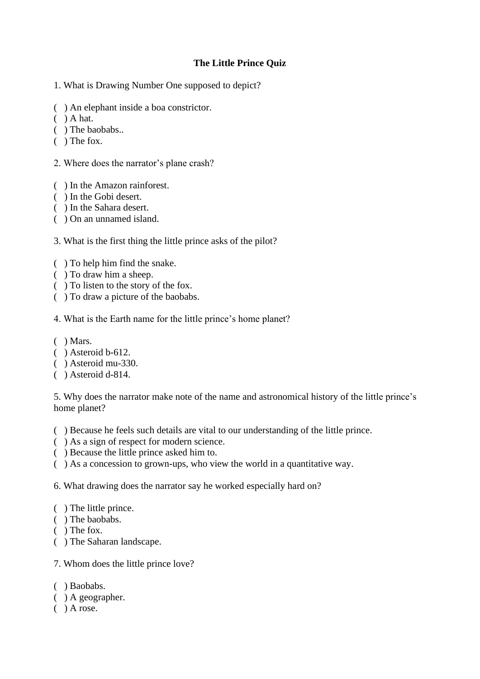## **The Little Prince Quiz**

- 1. What is Drawing Number One supposed to depict?
- ( ) An elephant inside a boa constrictor.
- $( )$  A hat.
- ( ) The baobabs..
- ( ) The fox.
- 2. Where does the narrator's plane crash?
- ( ) In the Amazon rainforest.
- ( ) In the Gobi desert.
- ( ) In the Sahara desert.
- ( ) On an unnamed island.
- 3. What is the first thing the little prince asks of the pilot?
- ( ) To help him find the snake.
- ( ) To draw him a sheep.
- ( ) To listen to the story of the fox.
- ( ) To draw a picture of the baobabs.
- 4. What is the Earth name for the little prince's home planet?
- $( )$  Mars.
- ( ) Asteroid b-612.
- ( ) Asteroid mu-330.
- ( ) Asteroid d-814.

5. Why does the narrator make note of the name and astronomical history of the little prince's home planet?

- ( ) Because he feels such details are vital to our understanding of the little prince.
- ( ) As a sign of respect for modern science.
- ( ) Because the little prince asked him to.
- ( ) As a concession to grown-ups, who view the world in a quantitative way.

6. What drawing does the narrator say he worked especially hard on?

- ( ) The little prince.
- ( ) The baobabs.
- ( ) The fox.
- ( ) The Saharan landscape.
- 7. Whom does the little prince love?
- ( ) Baobabs.
- ( ) A geographer.
- $( )$  A rose.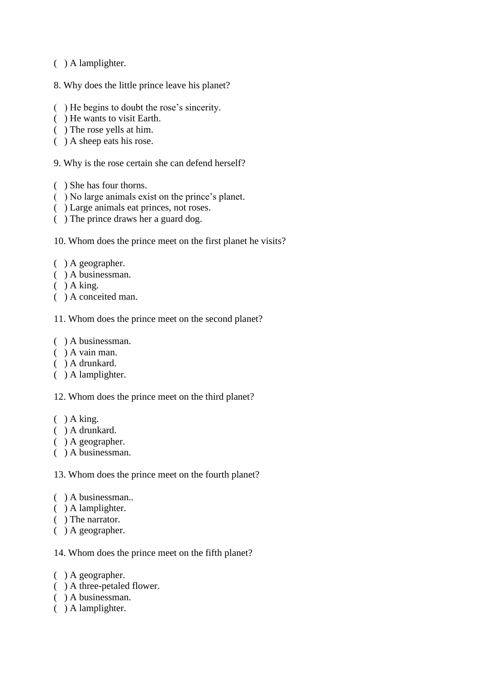- ( ) A lamplighter.
- 8. Why does the little prince leave his planet?
- ( ) He begins to doubt the rose's sincerity.
- ( ) He wants to visit Earth.
- ( ) The rose yells at him.
- ( ) A sheep eats his rose.
- 9. Why is the rose certain she can defend herself?
- ( ) She has four thorns.
- ( ) No large animals exist on the prince's planet.
- ( ) Large animals eat princes, not roses.
- ( ) The prince draws her a guard dog.
- 10. Whom does the prince meet on the first planet he visits?
- ( ) A geographer.
- ( ) A businessman.
- $( )$  A king.
- ( ) A conceited man.
- 11. Whom does the prince meet on the second planet?
- ( ) A businessman.
- ( ) A vain man.
- ( ) A drunkard.
- ( ) A lamplighter.

12. Whom does the prince meet on the third planet?

- $( )$  A king.
- ( ) A drunkard.
- ( ) A geographer.
- ( ) A businessman.

13. Whom does the prince meet on the fourth planet?

- ( ) A businessman..
- ( ) A lamplighter.
- ( ) The narrator.
- ( ) A geographer.

14. Whom does the prince meet on the fifth planet?

- ( ) A geographer.
- ( ) A three-petaled flower.
- ( ) A businessman.
- ( ) A lamplighter.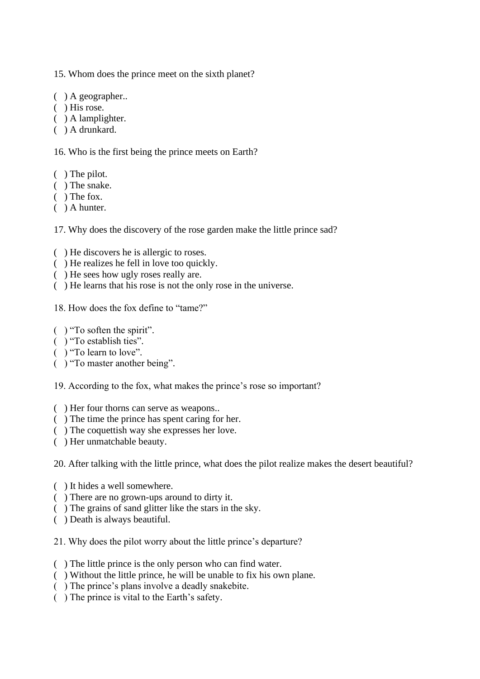15. Whom does the prince meet on the sixth planet?

- ( ) A geographer..
- ( ) His rose.
- ( ) A lamplighter.
- ( ) A drunkard.

16. Who is the first being the prince meets on Earth?

- ( ) The pilot.
- ( ) The snake.
- ( ) The fox.
- ( ) A hunter.

17. Why does the discovery of the rose garden make the little prince sad?

- ( ) He discovers he is allergic to roses.
- ( ) He realizes he fell in love too quickly.
- ( ) He sees how ugly roses really are.
- ( ) He learns that his rose is not the only rose in the universe.

18. How does the fox define to "tame?"

- ( ) "To soften the spirit".
- ( ) "To establish ties".
- ( ) "To learn to love".
- ( ) "To master another being".

19. According to the fox, what makes the prince's rose so important?

- ( ) Her four thorns can serve as weapons..
- ( ) The time the prince has spent caring for her.
- ( ) The coquettish way she expresses her love.
- ( ) Her unmatchable beauty.

20. After talking with the little prince, what does the pilot realize makes the desert beautiful?

- ( ) It hides a well somewhere.
- ( ) There are no grown-ups around to dirty it.
- ( ) The grains of sand glitter like the stars in the sky.
- ( ) Death is always beautiful.

21. Why does the pilot worry about the little prince's departure?

- ( ) The little prince is the only person who can find water.
- ( ) Without the little prince, he will be unable to fix his own plane.
- ( ) The prince's plans involve a deadly snakebite.
- ( ) The prince is vital to the Earth's safety.